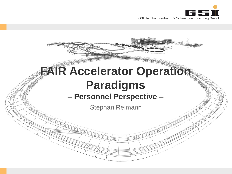

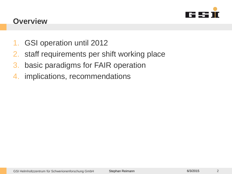

#### **Overview**

- 1. GSI operation until 2012
- 2. staff requirements per shift working place
- 3. basic paradigms for FAIR operation
- 4. implications, recommendations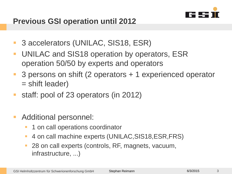

# **Previous GSI operation until 2012**

- 3 accelerators (UNILAC, SIS18, ESR)
- **UNILAC and SIS18 operation by operators, ESR** operation 50/50 by experts and operators
- 3 persons on shift (2 operators + 1 experienced operator = shift leader)
- staff: pool of 23 operators (in 2012)
- Additional personnel:
	- 1 on call operations coordinator
	- 4 on call machine experts (UNILAC,SIS18,ESR,FRS)
	- 28 on call experts (controls, RF, magnets, vacuum, infrastructure, ...)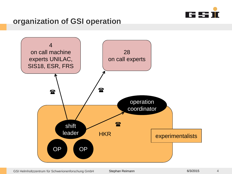

## **organization of GSI operation**



GSI Helmholtzzentrum für Schwerionenforschung GmbH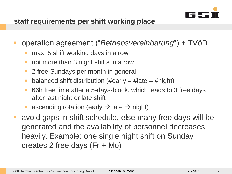

#### **staff requirements per shift working place**

- operation agreement ("*Betriebsvereinbarung*") + TVöD
	- max. 5 shift working days in a row
	- not more than 3 night shifts in a row
	- **2** free Sundays per month in general
	- balanced shift distribution (#early  $=$  #late  $=$  #night)
	- 66h free time after a 5-days-block, which leads to 3 free days after last night or late shift
	- ascending rotation (early  $\rightarrow$  late  $\rightarrow$  night)
- avoid gaps in shift schedule, else many free days will be generated and the availability of personnel decreases heavily. Example: one single night shift on Sunday creates 2 free days (Fr + Mo)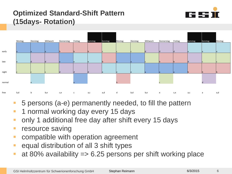# **Optimized Standard-Shift Pattern (15days- Rotation)**





- 5 persons (a-e) permanently needed, to fill the pattern
- **1** 1 normal working day every 15 days
- only 1 additional free day after shift every 15 days
- resource saving
- compatible with operation agreement
- equal distribution of all 3 shift types
- at 80% availability  $\Rightarrow$  6.25 persons per shift working place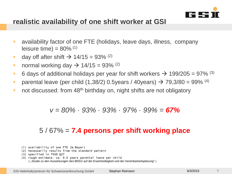

#### **realistic availability of one shift worker at GSI**

- availability factor of one FTE (holidays, leave days, illness, company leisure time) =  $80\%$ <sup>(1)</sup>
- day off after shift  $\rightarrow$  14/15 = 93% <sup>(2)</sup>
- normal working day  $\rightarrow$  14/15 = 93% <sup>(2)</sup>
- 6 days of additional holidays per year for shift workers  $\rightarrow$  199/205 = 97% <sup>(3)</sup>
- parental leave (per child  $(1,38/2)$  0.5years / 40years)  $\rightarrow$  79,3/80 = 99% <sup>(4)</sup>
- not discussed: from 48<sup>th</sup> birthday on, night shifts are not obligatory

#### *v = 80% · 93% · 93% · 97% · 99% = 67%*

#### 5 / 67% = **7.4 persons per shift working place**

- (1) availability of one FTE (W.Bayer)
- (2) necessarily results from the standard pattern
- (3) specified in TVöD §27
- (4) rough estimate: ca. 0,5 years parental leave per child ("Studie zu den Auswirkungen des BEEG auf die Erwerbstätigkeit und die Vereinbarkeitsplanung" )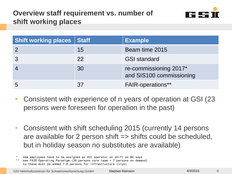# **Overview staff requirement vs. number of shift working places**



| <b>Shift working places Staff</b> |    | <b>Example</b>                                     |  |
|-----------------------------------|----|----------------------------------------------------|--|
|                                   | 15 | Beam time 2015                                     |  |
|                                   | 22 | <b>GSI standard</b>                                |  |
|                                   | 30 | re-commissioning 2017*<br>and SIS100 commissioning |  |
| $-5$                              | 37 | <b>FAIR-operations**</b>                           |  |

- Consistent with experience of n years of operation at GSI (23 persons were foreseen for operation in the past)
- Consistent with shift scheduling 2015 (currently 14 persons are available for 2 person shift => shifts could be scheduled, but in holiday season no substitutes are available)
- new employees have to be assigned as 4th operator on shift as BV says

8

<sup>\*\*</sup> see FAIR Operating Paradigm (30 persons core team + 7 persons on demand) to these must be added 7-8 persons for infrastructure (cryo)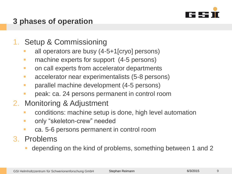

# **3 phases of operation**

- 1. Setup & Commissioning
	- all operators are busy (4-5+1[cryo] persons)
	- **nachine experts for support (4-5 persons)**
	- **On call experts from accelerator departments**
	- **accelerator near experimentalists (5-8 persons)**
	- **•** parallel machine development (4-5 persons)
	- peak: ca. 24 persons permanent in control room
- 2. Monitoring & Adjustment
	- **EXECONDERGIST CONDUTE:** conditions: machine setup is done, high level automation
	- **F** only "skeleton-crew" needed
	- ca. 5-6 persons permanent in control room
- 3. Problems
	- depending on the kind of problems, something between 1 and 2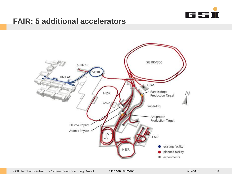

### **FAIR: 5 additional accelerators**



GSI Helmholtzzentrum für Schwerionenforschung GmbH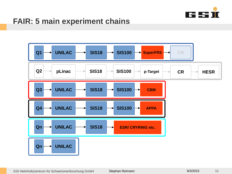

# **FAIR: 5 main experiment chains**

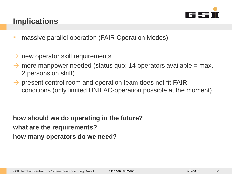

# **Implications**

- **nassive parallel operation (FAIR Operation Modes)**
- $\rightarrow$  new operator skill requirements
- $\rightarrow$  more manpower needed (status quo: 14 operators available = max. 2 persons on shift)
- $\rightarrow$  present control room and operation team does not fit FAIR conditions (only limited UNILAC-operation possible at the moment)

**how should we do operating in the future? what are the requirements? how many operators do we need?**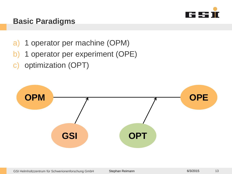

## **Basic Paradigms**

- a) 1 operator per machine (OPM)
- b) 1 operator per experiment (OPE)
- c) optimization (OPT)

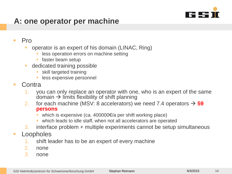

# **A: one operator per machine**

#### $\blacksquare$  Pro

- operator is an expert of his domain (LINAC, Ring)
	- less operation errors on machine setting
	- faster beam setup
- **dedicated training possible** 
	- skill targeted training
	- less expensive personnel
- Contra
	- 1. you can only replace an operator with one, who is an expert of the same domain  $\rightarrow$  limits flexibility of shift planning
	- 2. for each machine (MSV: 8 accelerators) we need 7.4 operators  $\rightarrow$  59 **persons**
		- which is expensive (ca. 400000€/a per shift working place)
		- which leads to idle staff, when not all accelerators are operated
	- 3. interface problem + multiple experiments cannot be setup simultaneous

#### **Loopholes**

- shift leader has to be an expert of every machine
- 2. none
- 3. none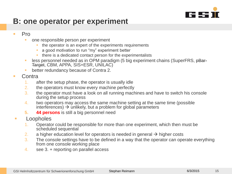

# **B: one operator per experiment**

#### $\blacksquare$  Pro

- one responsible person per experiment
	- the operator is an expert of the experiments requirements
	- a good motivation to run "my" experiment better
	- **there is a dedicated contact person for the experimentalists**
- less personnel needed as in OPM paradigm (5 big experiment chains (SuperFRS, pBar-Target, CBM, APPA, SIS+ESR, UNILAC)
- better redundancy because of Contra 2.
- $\blacksquare$  Contra
	- 1. after the setup phase, the operator is usually idle
	- 2. the operators must know every machine perfectly
	- 3. the operator must have a look on all running machines and have to switch his console during the setup process
	- 4. two operators may access the same machine setting at the same time (possible interferences)  $\rightarrow$  unlikely, but a problem for global parameters
	- **5. 44 persons** is still a big personnel need
- **Loopholes** 
	- 1. Operator could be responsible for more than one experiment, which then must be scheduled sequential
	- 2. a higher education level for operators is needed in general  $\rightarrow$  higher costs
	- 3. The console settings have to be defined in a way that the operator can operate everything from one console working place
	- 4. see 3. + reporting on parallel access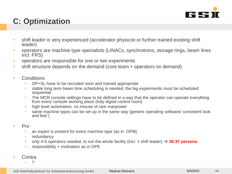

# **C: Optimization**

- shift leader is very experienced (accelerator physicist or further trained existing shift leader)
- operators are machine type specialists (LINACs, synchrotrons, storage rings, beam lines incl. FRS)
- **•** operators are responsible for one or two experiments
- shift structure depends on the demand (core team + operators on demand)
- **Conditions** 
	- OP+SL have to be recruited soon and trained appropriate
	- stable long term beam time scheduling is needed, the big experiments must be scheduled sequential
	- **The MCR console settings have to be defined in a way that the operator can operate everything** from every console working place (fully digital control room)
	- **high level automation, no misuse of rare manpower**
	- same machine types can be set up in the same way (generic operating software/ consistent look and feel )
- $\blacksquare$  Pro
	- an expert is present for every machine type (as in OPM)
	- **redundancy**
	- only 4-5 operators needed, to run the whole facility (incl. 1 shift leader)  $\rightarrow$  30-37 persons
	- **responsibility + motivation as in OPE**
- Contra
	- ?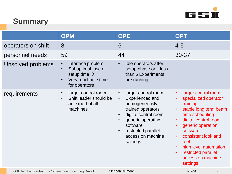

# **Summary**

|                                                                       | <b>OPM</b>                                                                                                                                        | <b>OPE</b>                                                                                                                                                                                                                                                            | <b>OPT</b>                                                                                                                                                                                                                                                                                                                                                 |
|-----------------------------------------------------------------------|---------------------------------------------------------------------------------------------------------------------------------------------------|-----------------------------------------------------------------------------------------------------------------------------------------------------------------------------------------------------------------------------------------------------------------------|------------------------------------------------------------------------------------------------------------------------------------------------------------------------------------------------------------------------------------------------------------------------------------------------------------------------------------------------------------|
| operators on shift                                                    | 8                                                                                                                                                 | 6                                                                                                                                                                                                                                                                     | $4 - 5$                                                                                                                                                                                                                                                                                                                                                    |
| personnel needs                                                       | 59                                                                                                                                                | 44                                                                                                                                                                                                                                                                    | 30-37                                                                                                                                                                                                                                                                                                                                                      |
| Unsolved problems                                                     | Interface problem<br>$\bullet$<br>Suboptimal use of<br>$\bullet$<br>setup time $\rightarrow$<br>Very much idle time<br>$\bullet$<br>for operators | Idle operators after<br>$\bullet$<br>setup phase or if less<br>than 6 Experiments<br>are running                                                                                                                                                                      |                                                                                                                                                                                                                                                                                                                                                            |
| requirements                                                          | larger control room<br>$\bullet$<br>Shift leader should be<br>$\bullet$<br>an expert of all<br>machines                                           | larger control room<br>$\bullet$<br><b>Experienced and</b><br>$\bullet$<br>homogeneously<br>trained operators<br>digital control room<br>$\bullet$<br>generic operating<br>$\bullet$<br>software<br>restricted parallel<br>$\bullet$<br>access on machine<br>settings | larger control room<br>$\bullet$<br>specialized operator<br>$\bullet$<br>training<br>stable long term beam<br>$\bullet$<br>time scheduling<br>digital control room<br>$\bullet$<br>generic operation<br>software<br>consistent look and<br>$\bullet$<br>feel<br>high level automation<br>$\bullet$<br>restricted parallel<br>access on machine<br>settings |
| Stephan Reimann<br>GSI Helmholtzzentrum für Schwerionenforschung GmbH |                                                                                                                                                   |                                                                                                                                                                                                                                                                       | 6/3/2015<br>17                                                                                                                                                                                                                                                                                                                                             |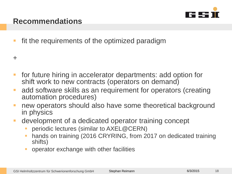

## **Recommendations**

**fit the requirements of the optimized paradigm** 

+

- **for future hiring in accelerator departments: add option for** shift work to new contracts (operators on demand)
- **add software skills as an requirement for operators (creating** automation procedures)
- new operators should also have some theoretical background in physics
- development of a dedicated operator training concept
	- periodic lectures (similar to AXEL@CERN)
	- hands on training (2016 CRYRING, from 2017 on dedicated training shifts)
	- operator exchange with other facilities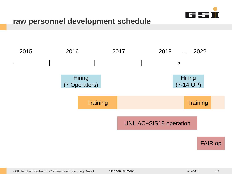

#### **raw personnel development schedule**